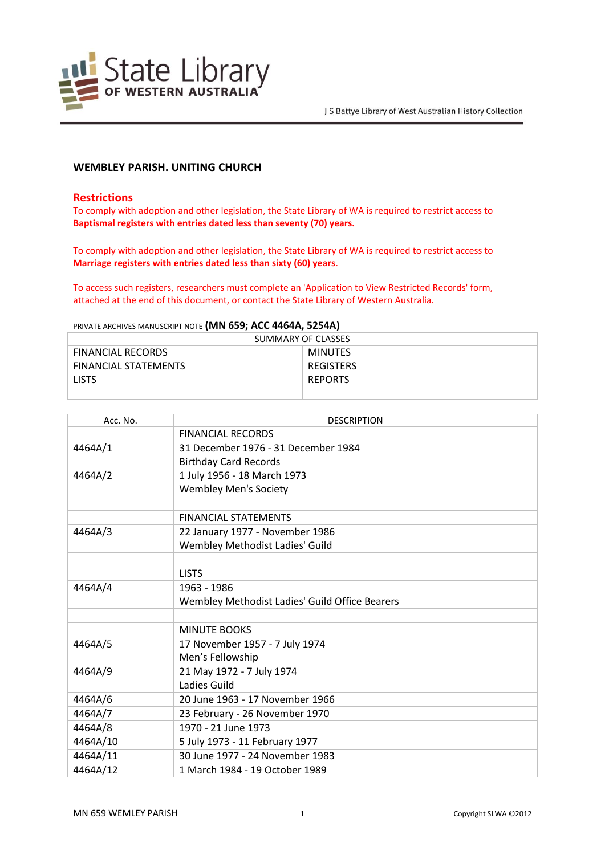

# **WEMBLEY PARISH. UNITING CHURCH**

### **Restrictions**

To comply with adoption and other legislation, the State Library of WA is required to restrict access to **Baptismal registers with entries dated less than seventy (70) years.**

To comply with adoption and other legislation, the State Library of WA is required to restrict access to **Marriage registers with entries dated less than sixty (60) years**.

To access such registers, researchers must complete an 'Application to View Restricted Records' form, attached at the end of this document, or contact the State Library of Western Australia.

PRIVATE ARCHIVES MANUSCRIPT NOTE **(MN 659; ACC 4464A, 5254A)**

| SUMMARY OF CLASSES          |                |  |
|-----------------------------|----------------|--|
| <b>FINANCIAL RECORDS</b>    | <b>MINUTES</b> |  |
| <b>FINANCIAL STATEMENTS</b> | REGISTERS      |  |
| <b>LISTS</b>                | <b>REPORTS</b> |  |
|                             |                |  |

| Acc. No. | <b>DESCRIPTION</b>                             |
|----------|------------------------------------------------|
|          | <b>FINANCIAL RECORDS</b>                       |
| 4464A/1  | 31 December 1976 - 31 December 1984            |
|          | <b>Birthday Card Records</b>                   |
| 4464A/2  | 1 July 1956 - 18 March 1973                    |
|          | <b>Wembley Men's Society</b>                   |
|          |                                                |
|          | <b>FINANCIAL STATEMENTS</b>                    |
| 4464A/3  | 22 January 1977 - November 1986                |
|          | Wembley Methodist Ladies' Guild                |
|          |                                                |
|          | <b>LISTS</b>                                   |
| 4464A/4  | 1963 - 1986                                    |
|          | Wembley Methodist Ladies' Guild Office Bearers |
|          |                                                |
|          | <b>MINUTE BOOKS</b>                            |
| 4464A/5  | 17 November 1957 - 7 July 1974                 |
|          | Men's Fellowship                               |
| 4464A/9  | 21 May 1972 - 7 July 1974                      |
|          | Ladies Guild                                   |
| 4464A/6  | 20 June 1963 - 17 November 1966                |
| 4464A/7  | 23 February - 26 November 1970                 |
| 4464A/8  | 1970 - 21 June 1973                            |
| 4464A/10 | 5 July 1973 - 11 February 1977                 |
| 4464A/11 | 30 June 1977 - 24 November 1983                |
| 4464A/12 | 1 March 1984 - 19 October 1989                 |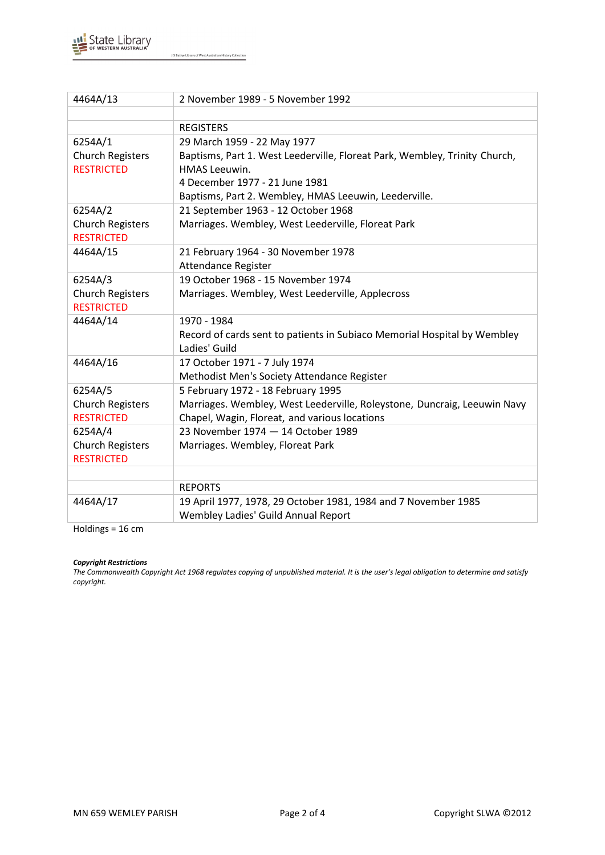

J S Battye Library of West Australian History Collection

| 4464A/13                | 2 November 1989 - 5 November 1992                                                         |
|-------------------------|-------------------------------------------------------------------------------------------|
|                         |                                                                                           |
|                         | <b>REGISTERS</b>                                                                          |
| 6254A/1                 | 29 March 1959 - 22 May 1977                                                               |
| <b>Church Registers</b> | Baptisms, Part 1. West Leederville, Floreat Park, Wembley, Trinity Church,                |
| <b>RESTRICTED</b>       | <b>HMAS Leeuwin.</b>                                                                      |
|                         | 4 December 1977 - 21 June 1981                                                            |
|                         | Baptisms, Part 2. Wembley, HMAS Leeuwin, Leederville.                                     |
| 6254A/2                 | 21 September 1963 - 12 October 1968                                                       |
| <b>Church Registers</b> | Marriages. Wembley, West Leederville, Floreat Park                                        |
| <b>RESTRICTED</b>       |                                                                                           |
| 4464A/15                | 21 February 1964 - 30 November 1978                                                       |
|                         | Attendance Register                                                                       |
| 6254A/3                 | 19 October 1968 - 15 November 1974                                                        |
| <b>Church Registers</b> | Marriages. Wembley, West Leederville, Applecross                                          |
| <b>RESTRICTED</b>       |                                                                                           |
| 4464A/14                | 1970 - 1984                                                                               |
|                         | Record of cards sent to patients in Subiaco Memorial Hospital by Wembley<br>Ladies' Guild |
| 4464A/16                | 17 October 1971 - 7 July 1974                                                             |
|                         | Methodist Men's Society Attendance Register                                               |
| 6254A/5                 | 5 February 1972 - 18 February 1995                                                        |
| <b>Church Registers</b> | Marriages. Wembley, West Leederville, Roleystone, Duncraig, Leeuwin Navy                  |
| <b>RESTRICTED</b>       | Chapel, Wagin, Floreat, and various locations                                             |
| 6254A/4                 | 23 November 1974 - 14 October 1989                                                        |
| <b>Church Registers</b> | Marriages. Wembley, Floreat Park                                                          |
| <b>RESTRICTED</b>       |                                                                                           |
|                         |                                                                                           |
|                         | <b>REPORTS</b>                                                                            |
| 4464A/17                | 19 April 1977, 1978, 29 October 1981, 1984 and 7 November 1985                            |
|                         | Wembley Ladies' Guild Annual Report                                                       |

Holdings = 16 cm

### *Copyright Restrictions*

*The Commonwealth Copyright Act 1968 regulates copying of unpublished material. It is the user's legal obligation to determine and satisfy copyright.*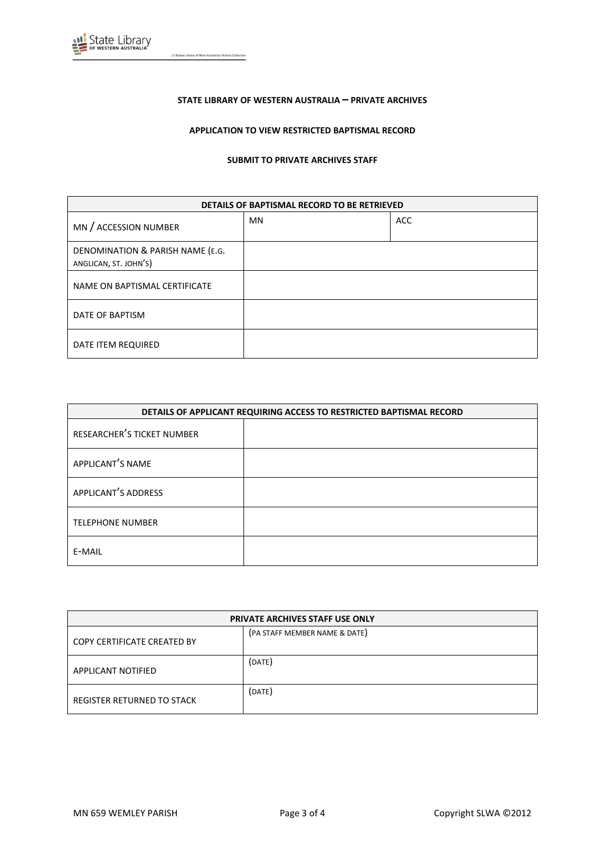

J S Battye Library of West Australian History Collection

#### **STATE LIBRARY OF WESTERN AUSTRALIA – PRIVATE ARCHIVES**

### **APPLICATION TO VIEW RESTRICTED BAPTISMAL RECORD**

#### **SUBMIT TO PRIVATE ARCHIVES STAFF**

| DETAILS OF BAPTISMAL RECORD TO BE RETRIEVED               |           |            |
|-----------------------------------------------------------|-----------|------------|
| MN / ACCESSION NUMBER                                     | <b>MN</b> | <b>ACC</b> |
| DENOMINATION & PARISH NAME (E.G.<br>ANGLICAN, ST. JOHN'S) |           |            |
| NAME ON BAPTISMAL CERTIFICATE                             |           |            |
| DATE OF BAPTISM                                           |           |            |
| DATE ITEM REQUIRED                                        |           |            |

| DETAILS OF APPLICANT REQUIRING ACCESS TO RESTRICTED BAPTISMAL RECORD |  |
|----------------------------------------------------------------------|--|
| <b>RESEARCHER'S TICKET NUMBER</b>                                    |  |
| APPLICANT'S NAME                                                     |  |
| APPLICANT'S ADDRESS                                                  |  |
| <b>TELEPHONE NUMBER</b>                                              |  |
| E-MAIL                                                               |  |

| <b>PRIVATE ARCHIVES STAFF USE ONLY</b> |                               |
|----------------------------------------|-------------------------------|
| <b>COPY CERTIFICATE CREATED BY</b>     | (PA STAFF MEMBER NAME & DATE) |
| <b>APPLICANT NOTIFIED</b>              | (DATE)                        |
| REGISTER RETURNED TO STACK             | (DATE)                        |